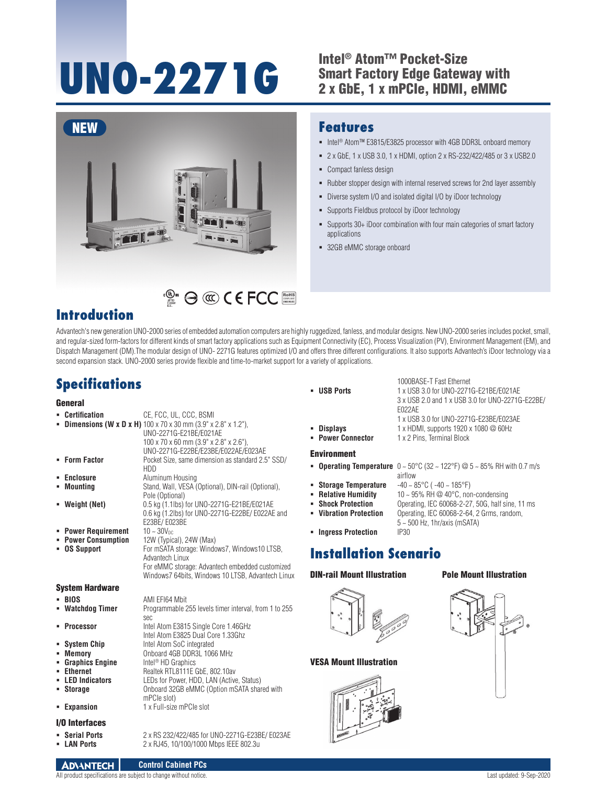# UNO-2271G<br>
<sup>2</sup> Intel® Atom™ Pocket-Size<br>
<sup>2</sup> x GbE. 1 x mPCle. HDMI.

## Smart Factory Edge Gateway with 2 x GbE, 1 x mPCIe, HDMI, eMMC

■ Intel<sup>®</sup> Atom™ E3815/E3825 processor with 4GB DDR3L onboard memory 2 x GbE, 1 x USB 3.0, 1 x HDMI, option 2 x RS-232/422/485 or 3 x USB2.0

Rubber stopper design with internal reserved screws for 2nd layer assembly

Supports 30+ iDoor combination with four main categories of smart factory

Diverse system I/O and isolated digital I/O by iDoor technology

Supports Fieldbus protocol by iDoor technology



## RoHS **COMPLIANT 2002/95/EC**

### **Introduction**

Advantech's new generation UNO-2000 series of embedded automation computers are highly ruggedized, fanless, and modular designs. New UNO-2000 series includes pocket, small, and regular-sized form-factors for different kinds of smart factory applications such as Equipment Connectivity (EC), Process Visualization (PV), Environment Management (EM), and Dispatch Management (DM).The modular design of UNO- 2271G features optimized I/O and offers three different configurations. It also supports Advantech's iDoor technology via a second expansion stack. UNO-2000 series provide flexible and time-to-market support for a variety of applications.

## **Specifications**

#### **General**

|   | • Certification                                                       | CE, FCC, UL, CCC, BSMI<br><b>- Dimensions (W x D x H)</b> $100 \times 70 \times 30$ mm (3.9" $\times$ 2.8" $\times$ 1.2").<br>UNO-2271G-E21BE/E021AE<br>100 x 70 x 60 mm (3.9" x 2.8" x 2.6"),<br>UNO-2271G-E22BE/E23BE/E022AE/E023AE |
|---|-----------------------------------------------------------------------|---------------------------------------------------------------------------------------------------------------------------------------------------------------------------------------------------------------------------------------|
|   | • Form Factor                                                         | Pocket Size, same dimension as standard 2.5" SSD/<br><b>HDD</b>                                                                                                                                                                       |
|   | • Enclosure<br>• Mounting                                             | Aluminum Housing<br>Stand, Wall, VESA (Optional), DIN-rail (Optional),<br>Pole (Optional)                                                                                                                                             |
|   | • Weight (Net)                                                        | 0.5 kg (1.1lbs) for UNO-2271G-E21BE/E021AE<br>0.6 kg (1.2lbs) for UNO-2271G-E22BE/E022AE and<br>E23BE/E023BE                                                                                                                          |
|   | • Power Requirement<br>• Power Consumption<br><b>OS Support</b>       | $10 - 30V_{DC}$<br>12W (Typical), 24W (Max)<br>For mSATA storage: Windows7, Windows10 LTSB,<br>Advantech Linux<br>For eMMC storage: Advantech embedded customized<br>Windows7 64bits, Windows 10 LTSB, Advantech Linux                |
|   | System Hardware                                                       |                                                                                                                                                                                                                                       |
|   | - BIOS<br>• Watchdog Timer                                            | AMI EFI64 Mbit<br>Programmable 255 levels timer interval, from 1 to 255<br>sec                                                                                                                                                        |
| ٠ | Processor<br>• System Chip<br>- Memory                                | Intel Atom E3815 Single Core 1.46GHz<br>Intel Atom E3825 Dual Core 1.33Ghz<br>Intel Atom SoC integrated<br>Onboard 4GB DDR3L 1066 MHz                                                                                                 |
| ٠ | • Graphics Engine<br>- Ethernet<br><b>LED Indicators</b><br>• Storage | Intel <sup>®</sup> HD Graphics<br>Realtek RTL8111E GbE, 802.10av<br>LEDs for Power, HDD, LAN (Active, Status)<br>Onboard 32GB eMMC (Option mSATA shared with<br>mPCle slot)                                                           |
|   | • Expansion                                                           | 1 x Full-size mPCle slot                                                                                                                                                                                                              |

**LAN Ports** 2 x RJ45, 10/100/1000 Mbps IEEE 802.3u

#### I/O Interfaces

- **Serial Ports** 2 x RS 232/422/485 for UNO-2271G-E23BE/ E023AE<br>**E LAN Ports** 2 x R.145 10/100/1000 Mbos IFFF 802 3u
- 

1000BASE-T Fast Ethernet **USB Ports** 1 x USB 3.0 for UNO-2271G-E21BE/E021AE 3 x USB 2.0 and 1 x USB 3.0 for UNO-2271G-E22BE/ E022AE

- - 1 x 2 Pins, Terminal Block

#### Environment

- **Operating Temperature**  $0 \sim 50^{\circ}$ C (32  $\sim$  122°F) @  $5 \sim 85\%$  RH with 0.7 m/s airflow<br>-40 ~ 85°C ( -40 ~ 185°F)
- **Storage Temperature**
- **Relative Humidity** 10 ~ 95% RH @ 40°C, non-condensing<br>**Bhock Protection** Cherating JEC 60068-2-27 50G half sir
- **Shock Protection** Operating, IEC 60068-2-27, 50G, half sine, 11 ms<br>**Vibration Protection** Operating. IEC 60068-2-64. 2 Grms. random.
- 
- 5 ~ 500 Hz, 1hr/axis (mSATA) **- Ingress Protection**

#### **Installation Scenario**

#### DIN-rail Mount Illustration



#### VESA Mount Illustration



#### Pole Mount Illustration



#### **Control Cabinet PCs ADVANTECH**

**Features**

applications

■ 32GB eMMC storage onboard

• Compact fanless design

1 x USB 3.0 for UNO-2271G-E23BE/E023AE

**Vibration Protection** Operating, IEC 60068-2-64, 2 Grms, random,

**Displays** 1 x HDMI, supports 1920 x 1080 @ 60Hz<br>**Power Connector** 1 x 2 Pins. Terminal Block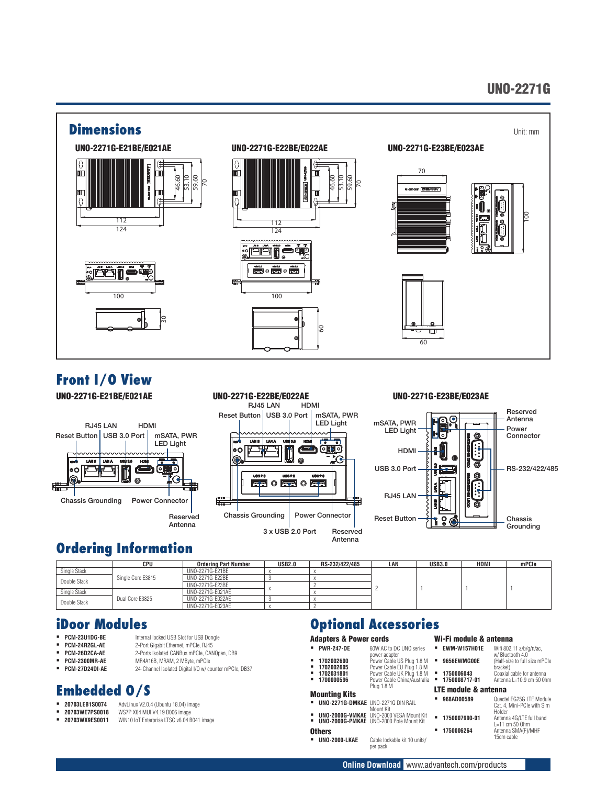### UNO-2271G



## **Front I/O View**

UNO-2271G-E21BE/E021AE



#### UNO-2271G-E22BE/E022AE RJ45 LAN HDMI mSATA, PWR Reset Button USB 3.0 Port LED Light فت LAME LAMA ٥Ō ۱۰ Q о  $\circ$   $\equiv$  $\circledcirc$ Chassis Grounding Power Connector 3 x USB 2.0 Port Reserved Antenna

#### UNO-2271G-E23BE/E023AE



### **Ordering Information**

|              | CPU                             | Ordering Part Number | <b>USB2.0</b> | RS-232/422/485 | LAN | <b>USB3.0</b> | <b>HDMI</b> | mPCle |
|--------------|---------------------------------|----------------------|---------------|----------------|-----|---------------|-------------|-------|
| Single Stack |                                 | UN0-2271G-F21BF      |               |                |     |               |             |       |
| Double Stack | Single Core E3815               | UNO-2271G-E22BE      |               |                |     |               |             |       |
|              | UNO-2271G-E23BE                 |                      |               |                |     |               |             |       |
| Single Stack | Dual Core E3825<br>Double Stack | UNO-2271G-E021AE     |               |                |     |               |             |       |
|              |                                 | UNO-2271G-E022AE     |               |                |     |               |             |       |
|              |                                 | UNO-2271G-E023AE     |               |                |     |               |             |       |

#### **iDoor Modules**

- **PCM-23U1DG-BE** Internal locked USB Slot for USB Dongle
- 
- **PCM-24R2GL-AE** 2-Port Gigabit Ethernet, mPCIe, RJ45 **PCM-26D2CA-AE** 2-Ports Isolated CANBus mPCIe, CANOpen, DB9<br>**PCM-2300MB-AF** MR4A16B MRAM 2 MBvte mPCIe
- **PCM-2300MR-AE** MR4A16B, MRAM, 2 MByte, mPCle<br>**PCM-27D24DI-AE** 24-Channel Isolated Digital I/O w/ co
- 

### **Embedded O/S**

- **20703LEB1S0074** AdvLinux V2.0.4 (Ubuntu 18.04) image
- **20703WE7PS0018** WS7P X64 MUI V4.19 B006 image<br>**20703WX9ES0011** WIN10 IoT Enternrise LTSC v6 04 R
- **20703WX9ES0011** WIN10 IoT Enterprise LTSC v6.04 B041 image

24-Channel Isolated Digital I/O w/ counter mPCIe, DB37

## **Optional Accessories**

power adapter

- Adapters & Power cords **PWR-247-DE** 60W AC to DC UNO series
- 
- **1702002600** Power Cable US Plug 1.8 M **1702002605** Power Cable EU Plug 1.8 M **1702031801** Power Cable UK Plug 1.8 M **1750006043** Coaxial cable for antenna
- **1700000596** Power Cable China/Australia Plug 1.8 M

#### Mounting Kits

- **UNO-2271G-DMKAE** UNO-2271G DIN RAIL Mount Kit **UNO-2000G-VMKAE** UNO-2000 VESA Mount Kit
- **UNO-2000G-PMKAE** UNO-2000 Pole Mount Kit

## **Others**<br>**=** UNO-2000-LKAE

Cable lockable kit 10 units/ per pack

- Wi-Fi module & antenna
- **EWM-W157H01E** Wifi 802.11 a/b/g/n/ac,<br>w/ Bluetooth 4.0
- 
- **bracket**)<br>Coaxial cable for antenna **1750008717-01** Antenna L=10.9 cm 50 0hm

#### LTE module & antenna

 **968AD00589** Quectel EG25G LTE Module Cat. 4, Mini-PCIe with Sim Holder **1750007990-01** Antenna 4G/LTE full band

**9656EWMG00E** (Half-size to full size mPCIe

L=11 cm 50 Ohm **1750006264** Antenna SMA(F)/MHF 15cm cable